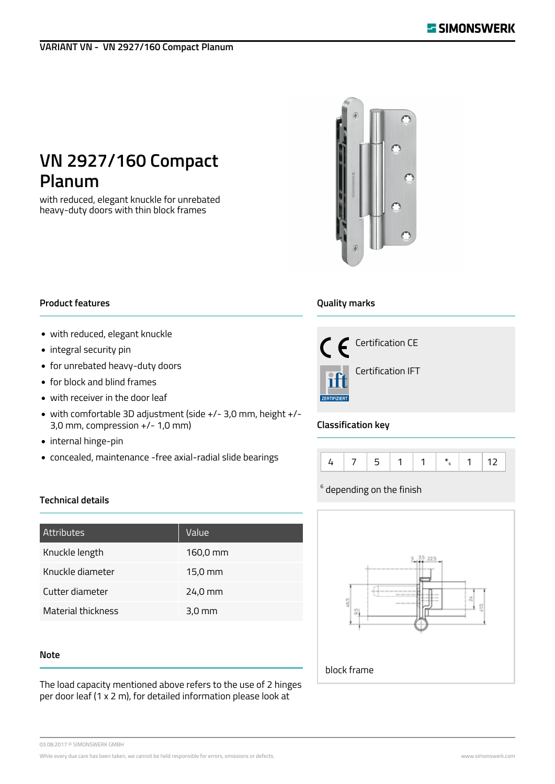## **VARIANT VN - VN 2927/160 Compact Planum**

# **VN 2927/160 Compact Planum**

with reduced, elegant knuckle for unrebated heavy-duty doors with thin block frames



#### **Product features**

- with reduced, elegant knuckle
- integral security pin
- for unrebated heavy-duty doors
- for block and blind frames
- with receiver in the door leaf
- with comfortable 3D adjustment (side +/- 3,0 mm, height +/- 3,0 mm, compression +/- 1,0 mm)
- internal hinge-pin
- concealed, maintenance -free axial-radial slide bearings

## **Quality marks**



## **Classification key**



## $^6$  depending on the finish



## **Technical details**

| Attributes         | Value                |
|--------------------|----------------------|
| Knuckle length     | $160,0 \, \text{mm}$ |
| Knuckle diameter   | 15,0 mm              |
| Cutter diameter    | 24,0 mm              |
| Material thickness | $3,0$ mm             |
|                    |                      |

#### **Note**

The load capacity mentioned above refers to the use of 2 hinges per door leaf (1 x 2 m), for detailed information please look at

03.08.2017 © SIMONSWERK GMBH

While every due care has been taken, we cannot be held responsible for errors, omissions or defects. Www.simonswerk.com www.simonswerk.com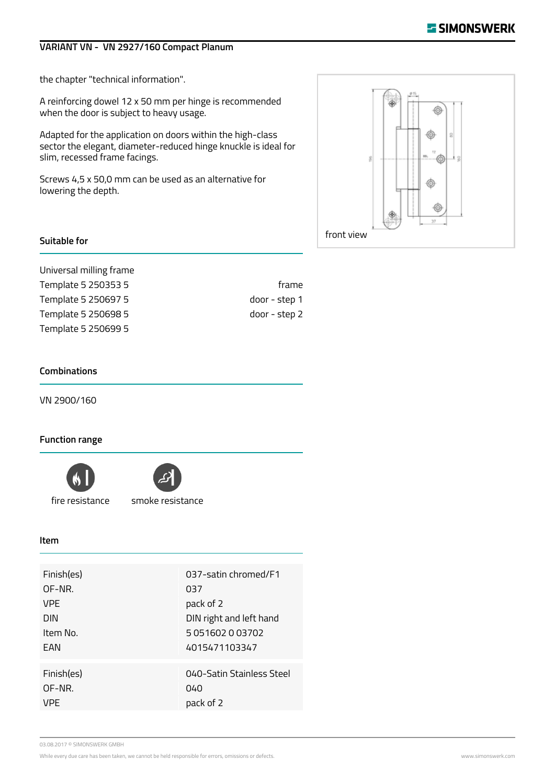## **VARIANT VN - VN 2927/160 Compact Planum**

the chapter "technical information".

A reinforcing dowel 12 x 50 mm per hinge is recommended when the door is subject to heavy usage.

Adapted for the application on doors within the high-class sector the elegant, diameter-reduced hinge knuckle is ideal for slim, recessed frame facings.

Screws 4,5 x 50,0 mm can be used as an alternative for lowering the depth.



#### **Suitable for**

Universal milling frame Template 5 250353 5 frame Template 5 250697 5 door - step 1 Template 5 250698 5 door - step 2 Template 5 250699 5

#### **Combinations**

VN 2900/160

#### **Function range**





fire resistance smoke resistance

#### **Item**

| Finish(es) | 037-satin chromed/F1      |
|------------|---------------------------|
| OF-NR.     | 037                       |
| <b>VPF</b> | pack of 2                 |
| <b>DIN</b> | DIN right and left hand   |
| Item No.   | 5 051602 0 03702          |
| FAN        | 4015471103347             |
| Finish(es) | 040-Satin Stainless Steel |
| OF-NR.     | 040                       |
| VPF        | pack of 2                 |

03.08.2017 © SIMONSWERK GMBH

While every due care has been taken, we cannot be held responsible for errors, omissions or defects. Www.simonswerk.com www.simonswerk.com